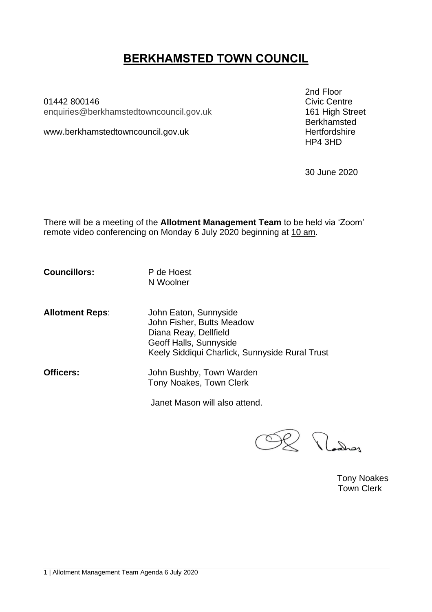# **BERKHAMSTED TOWN COUNCIL**

01442 800146 enquiries[@berkhamstedtowncouncil.gov.uk](mailto:berkhamsted.towncouncil@dacorum.gov.uk) 161 High Street

www.berkhamstedtowncouncil.gov.uk

2nd Floor<br>Civic Centre Berkhamsted HP4 3HD

30 June 2020

There will be a meeting of the **Allotment Management Team** to be held via 'Zoom' remote video conferencing on Monday 6 July 2020 beginning at 10 am.

**Councillors:** P de Hoest N Woolner

**Allotment Reps**: John Eaton, Sunnyside John Fisher, Butts Meadow Diana Reay, Dellfield Geoff Halls, Sunnyside Keely Siddiqui Charlick, Sunnyside Rural Trust

**Officers:** John Bushby, Town Warden Tony Noakes, Town Clerk

Janet Mason will also attend.

Rodres

Tony Noakes Town Clerk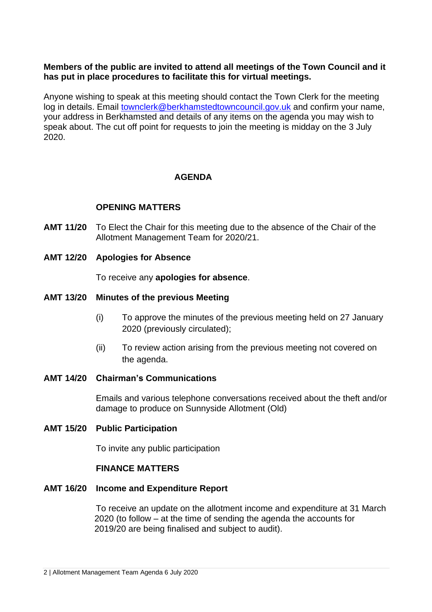## **Members of the public are invited to attend all meetings of the Town Council and it has put in place procedures to facilitate this for virtual meetings.**

Anyone wishing to speak at this meeting should contact the Town Clerk for the meeting log in details. Email *townclerk@berkhamstedtowncouncil.gov.uk* and confirm your name, your address in Berkhamsted and details of any items on the agenda you may wish to speak about. The cut off point for requests to join the meeting is midday on the 3 July 2020.

# **AGENDA**

## **OPENING MATTERS**

- **AMT 11/20** To Elect the Chair for this meeting due to the absence of the Chair of the Allotment Management Team for 2020/21.
- **AMT 12/20 Apologies for Absence**

To receive any **apologies for absence**.

### **AMT 13/20 Minutes of the previous Meeting**

- (i) To approve the minutes of the previous meeting held on 27 January 2020 (previously circulated);
- (ii) To review action arising from the previous meeting not covered on the agenda.

#### **AMT 14/20 Chairman's Communications**

Emails and various telephone conversations received about the theft and/or damage to produce on Sunnyside Allotment (Old)

# **AMT 15/20 Public Participation**

To invite any public participation

#### **FINANCE MATTERS**

#### **AMT 16/20 Income and Expenditure Report**

To receive an update on the allotment income and expenditure at 31 March 2020 (to follow – at the time of sending the agenda the accounts for 2019/20 are being finalised and subject to audit).